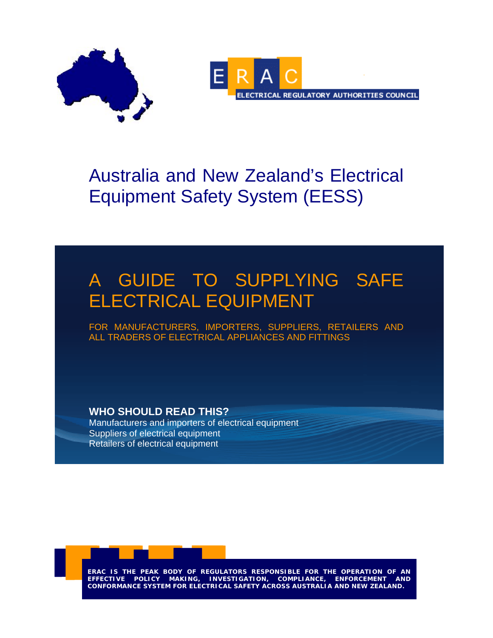



# Australia and New Zealand's Electrical Equipment Safety System (EESS)

# A GUIDE TO SUPPLYING SAFE ELECTRICAL EQUIPMENT

FOR MANUFACTURERS, IMPORTERS, SUPPLIERS, RETAILERS AND ALL TRADERS OF ELECTRICAL APPLIANCES AND FITTINGS

**WHO SHOULD READ THIS?** 

Manufacturers and importers of electrical equipment Suppliers of electrical equipment Retailers of electrical equipment

**ERAC IS THE PEAK BODY OF REGULATORS RESPONSIBLE FOR THE OPERATION OF AN EFFECTIVE POLICY MAKING, INVESTIGATION, COMPLIANCE, ENFORCEMENT AND CONFORMANCE SYSTEM FOR ELECTRICAL SAFETY ACROSS AUSTRALIA AND NEW ZEALAND.**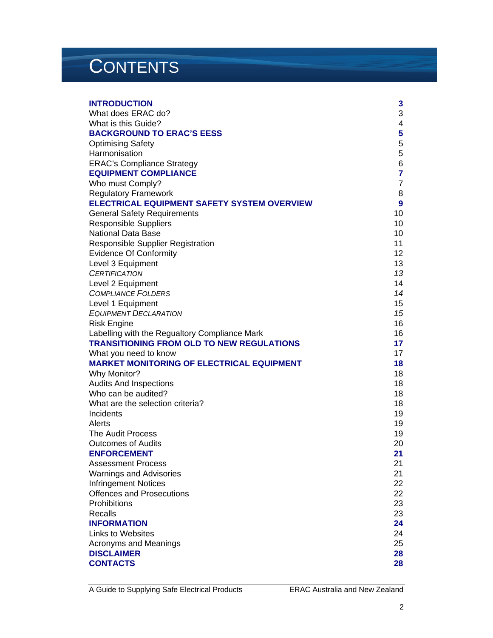# **CONTENTS**

| <b>INTRODUCTION</b>                                             | 3              |
|-----------------------------------------------------------------|----------------|
| What does ERAC do?                                              | 3              |
| What is this Guide?                                             | 4              |
| <b>BACKGROUND TO ERAC'S EESS</b>                                | 5              |
| <b>Optimising Safety</b>                                        | 5              |
| Harmonisation                                                   | 5              |
| <b>ERAC's Compliance Strategy</b>                               | 6              |
| <b>EQUIPMENT COMPLIANCE</b>                                     | $\overline{7}$ |
| Who must Comply?                                                | $\overline{7}$ |
| <b>Regulatory Framework</b>                                     | 8              |
| ELECTRICAL EQUIPMENT SAFETY SYSTEM OVERVIEW                     | 9              |
| <b>General Safety Requirements</b>                              | 10             |
| <b>Responsible Suppliers</b>                                    | 10             |
| <b>National Data Base</b>                                       | 10             |
| <b>Responsible Supplier Registration</b>                        | 11             |
| <b>Evidence Of Conformity</b>                                   | 12             |
| Level 3 Equipment                                               | 13             |
| <b>CERTIFICATION</b>                                            | 13             |
| Level 2 Equipment                                               | 14             |
| <b>COMPLIANCE FOLDERS</b>                                       | 14             |
| Level 1 Equipment                                               | 15             |
| <b>EQUIPMENT DECLARATION</b>                                    | 15             |
| <b>Risk Engine</b>                                              | 16             |
| Labelling with the Regualtory Compliance Mark                   | 16             |
| <b>TRANSITIONING FROM OLD TO NEW REGULATIONS</b>                | 17             |
| What you need to know                                           | 17             |
| <b>MARKET MONITORING OF ELECTRICAL EQUIPMENT</b>                | 18             |
| Why Monitor?                                                    | 18             |
| <b>Audits And Inspections</b>                                   | 18             |
| Who can be audited?                                             | 18             |
| What are the selection criteria?                                | 18             |
| Incidents                                                       | 19             |
| Alerts                                                          | 19             |
| The Audit Process                                               | 19             |
| <b>Outcomes of Audits</b>                                       | 20             |
| <b>ENFORCEMENT</b>                                              | 21             |
| <b>Assessment Process</b>                                       | 21             |
| <b>Warnings and Advisories</b>                                  | 21<br>22       |
| <b>Infringement Notices</b><br><b>Offences and Prosecutions</b> |                |
| <b>Prohibitions</b>                                             | 22<br>23       |
| Recalls                                                         | 23             |
| <b>INFORMATION</b>                                              | 24             |
| <b>Links to Websites</b>                                        | 24             |
| <b>Acronyms and Meanings</b>                                    | 25             |
| <b>DISCLAIMER</b>                                               | 28             |
| <b>CONTACTS</b>                                                 | 28             |
|                                                                 |                |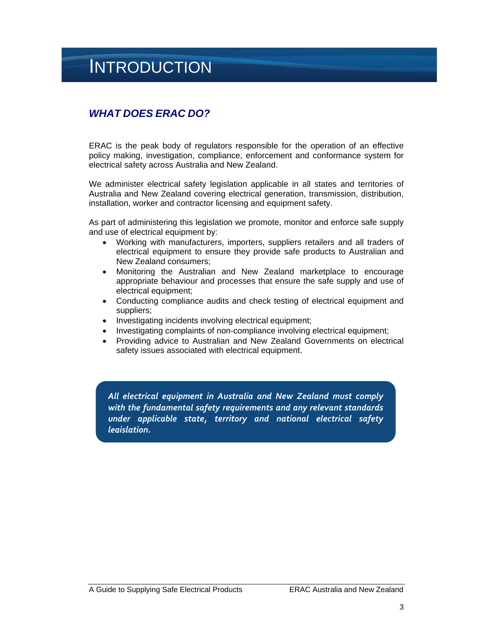# **INTRODUCTION**

# *WHAT DOES ERAC DO?*

ERAC is the peak body of regulators responsible for the operation of an effective policy making, investigation, compliance, enforcement and conformance system for electrical safety across Australia and New Zealand.

We administer electrical safety legislation applicable in all states and territories of Australia and New Zealand covering electrical generation, transmission, distribution, installation, worker and contractor licensing and equipment safety.

As part of administering this legislation we promote, monitor and enforce safe supply and use of electrical equipment by:

- Working with manufacturers, importers, suppliers retailers and all traders of electrical equipment to ensure they provide safe products to Australian and New Zealand consumers;
- Monitoring the Australian and New Zealand marketplace to encourage appropriate behaviour and processes that ensure the safe supply and use of electrical equipment;
- Conducting compliance audits and check testing of electrical equipment and suppliers;
- Investigating incidents involving electrical equipment;
- Investigating complaints of non-compliance involving electrical equipment;
- Providing advice to Australian and New Zealand Governments on electrical safety issues associated with electrical equipment.

*All electrical equipment in Australia and New Zealand must comply with the fundamental safety requirements and any relevant standards under applicable state, territory and national electrical safety legislation.*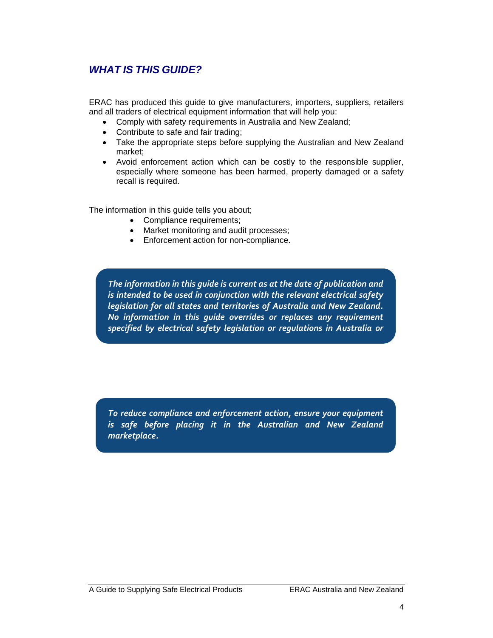## *WHAT IS THIS GUIDE?*

ERAC has produced this guide to give manufacturers, importers, suppliers, retailers and all traders of electrical equipment information that will help you:

- Comply with safety requirements in Australia and New Zealand;
- Contribute to safe and fair trading;
- Take the appropriate steps before supplying the Australian and New Zealand market;
- Avoid enforcement action which can be costly to the responsible supplier, especially where someone has been harmed, property damaged or a safety recall is required.

The information in this guide tells you about;

- Compliance requirements;
- Market monitoring and audit processes;
- Enforcement action for non-compliance.

*The information in this guide is current as at the date of publication and is intended to be used in conjunction with the relevant electrical safety legislation for all states and territories of Australia and New Zealand. No information in this guide overrides or replaces any requirement specified by electrical safety legislation or regulations in Australia or*

*To reduce compliance and enforcement action, ensure your equipment is safe before placing it in the Australian and New Zealand marketplace.*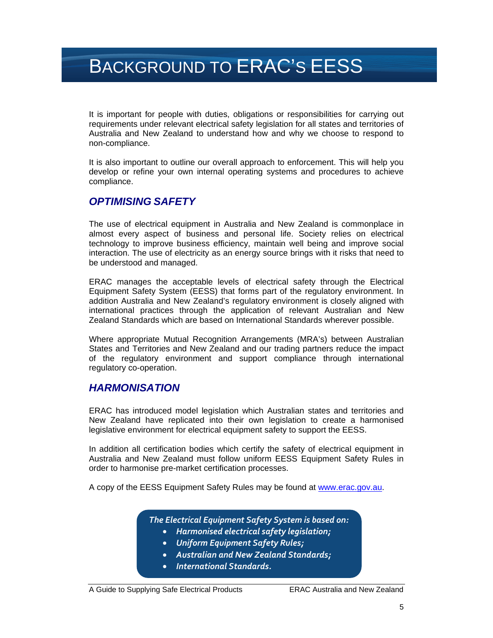# BACKGROUND TO ERAC'S EESS

It is important for people with duties, obligations or responsibilities for carrying out requirements under relevant electrical safety legislation for all states and territories of Australia and New Zealand to understand how and why we choose to respond to non-compliance.

It is also important to outline our overall approach to enforcement. This will help you develop or refine your own internal operating systems and procedures to achieve compliance.

### *OPTIMISING SAFETY*

The use of electrical equipment in Australia and New Zealand is commonplace in almost every aspect of business and personal life. Society relies on electrical technology to improve business efficiency, maintain well being and improve social interaction. The use of electricity as an energy source brings with it risks that need to be understood and managed.

ERAC manages the acceptable levels of electrical safety through the Electrical Equipment Safety System (EESS) that forms part of the regulatory environment. In addition Australia and New Zealand's regulatory environment is closely aligned with international practices through the application of relevant Australian and New Zealand Standards which are based on International Standards wherever possible.

Where appropriate Mutual Recognition Arrangements (MRA's) between Australian States and Territories and New Zealand and our trading partners reduce the impact of the regulatory environment and support compliance through international regulatory co-operation.

#### *HARMONISATION*

ERAC has introduced model legislation which Australian states and territories and New Zealand have replicated into their own legislation to create a harmonised legislative environment for electrical equipment safety to support the EESS.

In addition all certification bodies which certify the safety of electrical equipment in Australia and New Zealand must follow uniform EESS Equipment Safety Rules in order to harmonise pre-market certification processes.

A copy of the EESS Equipment Safety Rules may be found at www.erac.gov.au.

*The Electrical Equipment Safety System is based on:*

- *Harmonised electrical safety legislation;*
- *Uniform Equipment Safety Rules;*
- *Australian and New Zealand Standards;*
- *International Standards.*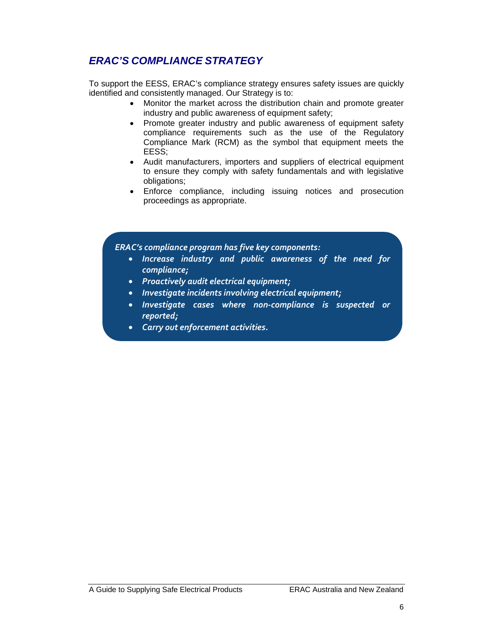# *ERAC'S COMPLIANCE STRATEGY*

To support the EESS, ERAC's compliance strategy ensures safety issues are quickly identified and consistently managed. Our Strategy is to:

- Monitor the market across the distribution chain and promote greater industry and public awareness of equipment safety;
- Promote greater industry and public awareness of equipment safety compliance requirements such as the use of the Regulatory Compliance Mark (RCM) as the symbol that equipment meets the EESS;
- Audit manufacturers, importers and suppliers of electrical equipment to ensure they comply with safety fundamentals and with legislative obligations;
- Enforce compliance, including issuing notices and prosecution proceedings as appropriate.

#### *ERAC's compliance program has five key components:*

- *Increase industry and public awareness of the need for compliance;*
- *Proactively audit electrical equipment;*
- *Investigate incidents involving electrical equipment;*
- *Investigate cases where non‐compliance is suspected or reported;*
- *Carry out enforcement activities.*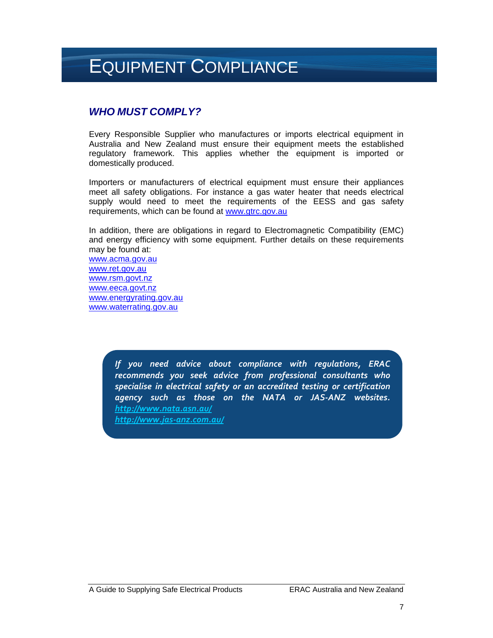# EQUIPMENT COMPLIANCE

## *WHO MUST COMPLY?*

Every Responsible Supplier who manufactures or imports electrical equipment in Australia and New Zealand must ensure their equipment meets the established regulatory framework. This applies whether the equipment is imported or domestically produced.

Importers or manufacturers of electrical equipment must ensure their appliances meet all safety obligations. For instance a gas water heater that needs electrical supply would need to meet the requirements of the EESS and gas safety requirements, which can be found at www.gtrc.gov.au

In addition, there are obligations in regard to Electromagnetic Compatibility (EMC) and energy efficiency with some equipment. Further details on these requirements may be found at:

www.acma.gov.au www.ret.gov.au www.rsm.govt.nz www.eeca.govt.nz www.energyrating.gov.au www.waterrating.gov.au

> *If you need advice about compliance with regulations, ERAC recommends you seek advice from professional consultants who specialise in electrical safety or an accredited testing or certification agency such as those on the NATA or JAS‐ANZ websites. http://www.nata.asn.au/ http://www.jas‐anz.com.au/*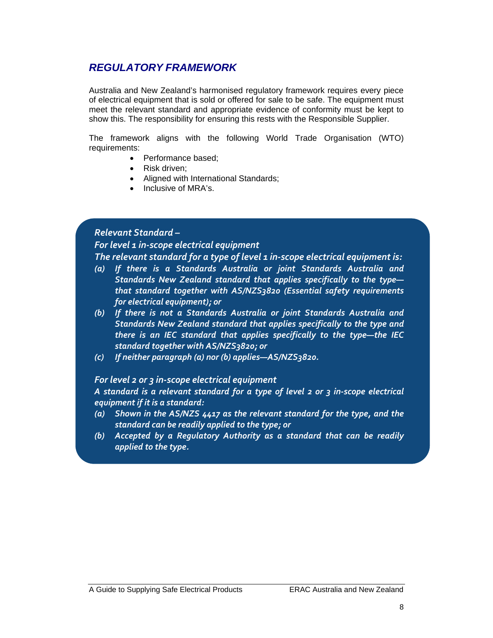## *REGULATORY FRAMEWORK*

Australia and New Zealand's harmonised regulatory framework requires every piece of electrical equipment that is sold or offered for sale to be safe. The equipment must meet the relevant standard and appropriate evidence of conformity must be kept to show this. The responsibility for ensuring this rests with the Responsible Supplier.

The framework aligns with the following World Trade Organisation (WTO) requirements:

- Performance based:
- Risk driven:
- Aligned with International Standards:
- Inclusive of MRA's.

#### *Relevant Standard –*

### *For level 1 in‐scope electrical equipment*

*The relevant standard for a type of level 1 in‐scope electrical equipment is:*

- *(a) If there is a Standards Australia or joint Standards Australia and Standards New Zealand standard that applies specifically to the type that standard together with AS/NZS3820 (Essential safety requirements for electrical equipment); or*
- *(b) If there is not a Standards Australia or joint Standards Australia and Standards New Zealand standard that applies specifically to the type and there is an IEC standard that applies specifically to the type—the IEC standard together with AS/NZS3820; or*
- *(c) If neither paragraph (a) nor (b) applies—AS/NZS3820.*

#### *For level 2 or 3 in‐scope electrical equipment*

*A standard is a relevant standard for a type of level 2 or 3 in‐scope electrical equipment if it is a standard:*

- *(a) Shown in the AS/NZS 4417 as the relevant standard for the type, and the standard can be readily applied to the type; or*
- *(b) Accepted by a Regulatory Authority as a standard that can be readily applied to the type.*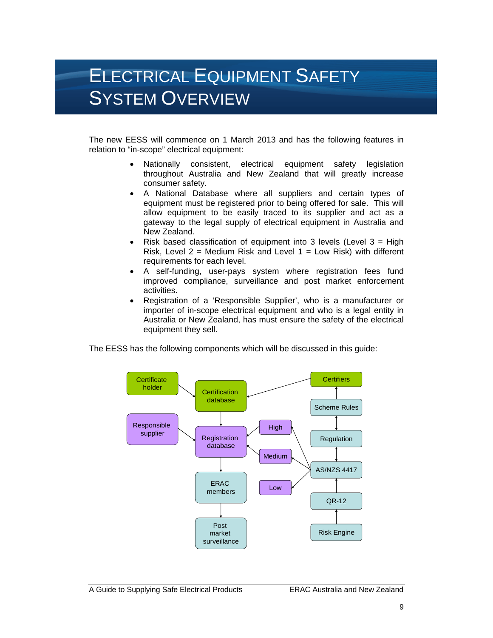# ELECTRICAL EQUIPMENT SAFETY SYSTEM OVERVIEW

The new EESS will commence on 1 March 2013 and has the following features in relation to "in-scope" electrical equipment:

- Nationally consistent, electrical equipment safety legislation throughout Australia and New Zealand that will greatly increase consumer safety.
- A National Database where all suppliers and certain types of equipment must be registered prior to being offered for sale. This will allow equipment to be easily traced to its supplier and act as a gateway to the legal supply of electrical equipment in Australia and New Zealand.
- Risk based classification of equipment into 3 levels (Level  $3 =$  High Risk, Level  $2 =$  Medium Risk and Level  $1 =$  Low Risk) with different requirements for each level.
- A self-funding, user-pays system where registration fees fund improved compliance, surveillance and post market enforcement activities.
- Registration of a 'Responsible Supplier', who is a manufacturer or importer of in-scope electrical equipment and who is a legal entity in Australia or New Zealand, has must ensure the safety of the electrical equipment they sell.

The EESS has the following components which will be discussed in this guide:

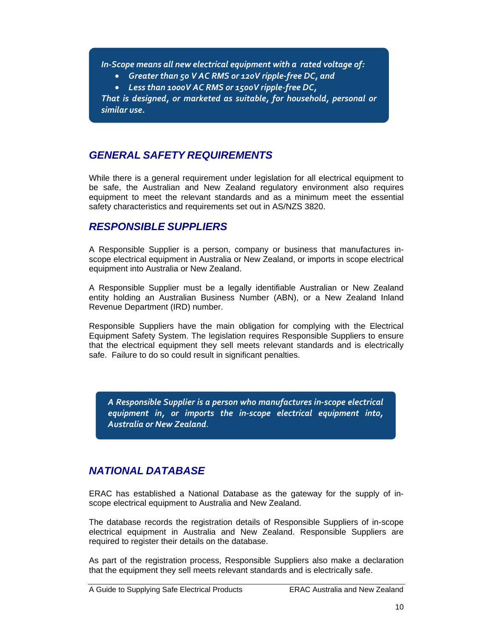*In‐Scope means all new electrical equipment with a rated voltage of:*

- *Greater than 50 V AC RMS or 120V ripple‐free DC, and*
- *Less than 1000V AC RMS or 1500V ripple‐free DC,*

*That is designed, or marketed as suitable, for household, personal or similar use.*

## *GENERAL SAFETY REQUIREMENTS*

While there is a general requirement under legislation for all electrical equipment to be safe, the Australian and New Zealand regulatory environment also requires equipment to meet the relevant standards and as a minimum meet the essential safety characteristics and requirements set out in AS/NZS 3820.

### *RESPONSIBLE SUPPLIERS*

A Responsible Supplier is a person, company or business that manufactures inscope electrical equipment in Australia or New Zealand, or imports in scope electrical equipment into Australia or New Zealand.

A Responsible Supplier must be a legally identifiable Australian or New Zealand entity holding an Australian Business Number (ABN), or a New Zealand Inland Revenue Department (IRD) number.

Responsible Suppliers have the main obligation for complying with the Electrical Equipment Safety System. The legislation requires Responsible Suppliers to ensure that the electrical equipment they sell meets relevant standards and is electrically safe. Failure to do so could result in significant penalties.

*A Responsible Supplier is a person who manufactures in‐scope electrical equipment in, or imports the in‐scope electrical equipment into, Australia or New Zealand*.

## *NATIONAL DATABASE*

ERAC has established a National Database as the gateway for the supply of inscope electrical equipment to Australia and New Zealand.

The database records the registration details of Responsible Suppliers of in-scope electrical equipment in Australia and New Zealand. Responsible Suppliers are required to register their details on the database.

As part of the registration process, Responsible Suppliers also make a declaration that the equipment they sell meets relevant standards and is electrically safe.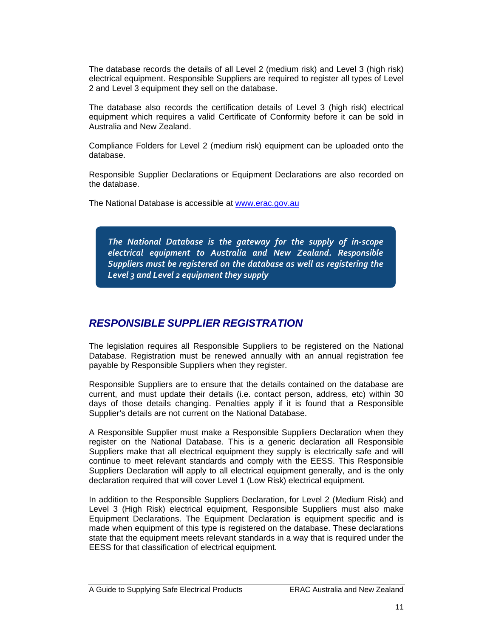The database records the details of all Level 2 (medium risk) and Level 3 (high risk) electrical equipment. Responsible Suppliers are required to register all types of Level 2 and Level 3 equipment they sell on the database.

The database also records the certification details of Level 3 (high risk) electrical equipment which requires a valid Certificate of Conformity before it can be sold in Australia and New Zealand.

Compliance Folders for Level 2 (medium risk) equipment can be uploaded onto the database.

Responsible Supplier Declarations or Equipment Declarations are also recorded on the database.

The National Database is accessible at www.erac.gov.au

*The National Database is the gateway for the supply of in‐scope electrical equipment to Australia and New Zealand. Responsible Suppliers must be registered on the database as well as registering the Level 3 and Level 2 equipment they supply*

## *RESPONSIBLE SUPPLIER REGISTRATION*

The legislation requires all Responsible Suppliers to be registered on the National Database. Registration must be renewed annually with an annual registration fee payable by Responsible Suppliers when they register.

Responsible Suppliers are to ensure that the details contained on the database are current, and must update their details (i.e. contact person, address, etc) within 30 days of those details changing. Penalties apply if it is found that a Responsible Supplier's details are not current on the National Database.

A Responsible Supplier must make a Responsible Suppliers Declaration when they register on the National Database. This is a generic declaration all Responsible Suppliers make that all electrical equipment they supply is electrically safe and will continue to meet relevant standards and comply with the EESS. This Responsible Suppliers Declaration will apply to all electrical equipment generally, and is the only declaration required that will cover Level 1 (Low Risk) electrical equipment.

In addition to the Responsible Suppliers Declaration, for Level 2 (Medium Risk) and Level 3 (High Risk) electrical equipment, Responsible Suppliers must also make Equipment Declarations. The Equipment Declaration is equipment specific and is made when equipment of this type is registered on the database. These declarations state that the equipment meets relevant standards in a way that is required under the EESS for that classification of electrical equipment.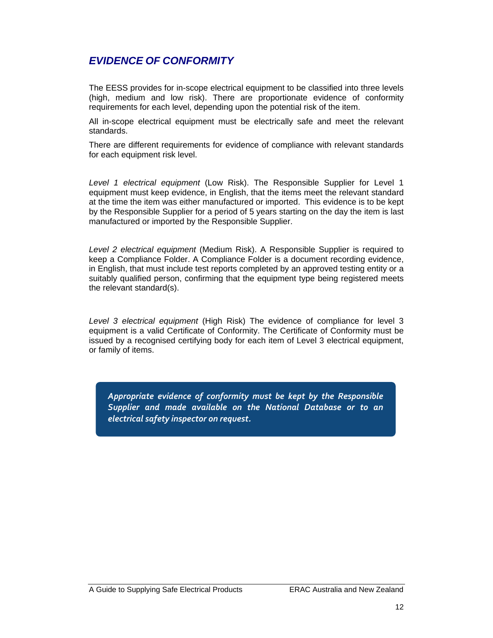## *EVIDENCE OF CONFORMITY*

The EESS provides for in-scope electrical equipment to be classified into three levels (high, medium and low risk). There are proportionate evidence of conformity requirements for each level, depending upon the potential risk of the item.

All in-scope electrical equipment must be electrically safe and meet the relevant standards.

There are different requirements for evidence of compliance with relevant standards for each equipment risk level.

*Level 1 electrical equipment* (Low Risk). The Responsible Supplier for Level 1 equipment must keep evidence, in English, that the items meet the relevant standard at the time the item was either manufactured or imported. This evidence is to be kept by the Responsible Supplier for a period of 5 years starting on the day the item is last manufactured or imported by the Responsible Supplier.

*Level 2 electrical equipment* (Medium Risk). A Responsible Supplier is required to keep a Compliance Folder. A Compliance Folder is a document recording evidence, in English, that must include test reports completed by an approved testing entity or a suitably qualified person, confirming that the equipment type being registered meets the relevant standard(s).

*Level 3 electrical equipment* (High Risk) The evidence of compliance for level 3 equipment is a valid Certificate of Conformity. The Certificate of Conformity must be issued by a recognised certifying body for each item of Level 3 electrical equipment, or family of items.

 *electrical safety inspector on request.Appropriate evidence of conformity must be kept by the Responsible Supplier and made available on the National Database or to an*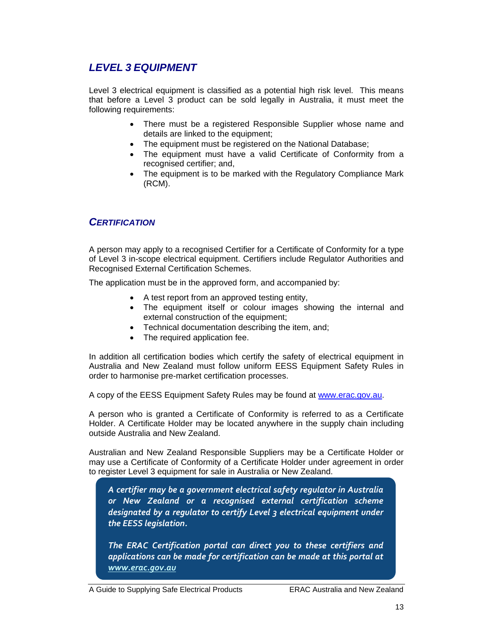## *LEVEL 3 EQUIPMENT*

Level 3 electrical equipment is classified as a potential high risk level. This means that before a Level 3 product can be sold legally in Australia, it must meet the following requirements:

- There must be a registered Responsible Supplier whose name and details are linked to the equipment;
- The equipment must be registered on the National Database;
- The equipment must have a valid Certificate of Conformity from a recognised certifier; and,
- The equipment is to be marked with the Regulatory Compliance Mark (RCM).

### *CERTIFICATION*

A person may apply to a recognised Certifier for a Certificate of Conformity for a type of Level 3 in-scope electrical equipment. Certifiers include Regulator Authorities and Recognised External Certification Schemes.

The application must be in the approved form, and accompanied by:

- A test report from an approved testing entity,
- The equipment itself or colour images showing the internal and external construction of the equipment;
- Technical documentation describing the item, and;
- The required application fee.

In addition all certification bodies which certify the safety of electrical equipment in Australia and New Zealand must follow uniform EESS Equipment Safety Rules in order to harmonise pre-market certification processes.

A copy of the EESS Equipment Safety Rules may be found at www.erac.gov.au.

A person who is granted a Certificate of Conformity is referred to as a Certificate Holder. A Certificate Holder may be located anywhere in the supply chain including outside Australia and New Zealand.

Australian and New Zealand Responsible Suppliers may be a Certificate Holder or may use a Certificate of Conformity of a Certificate Holder under agreement in order to register Level 3 equipment for sale in Australia or New Zealand.

*A certifier may be a government electrical safety regulator in Australia or New Zealand or a recognised external certification scheme designated by a regulator to certify Level 3 electrical equipment under the EESS legislation.*

*The ERAC Certification portal can direct you to these certifiers and applications can be made for certification can be made at this portal at www.erac.gov.au*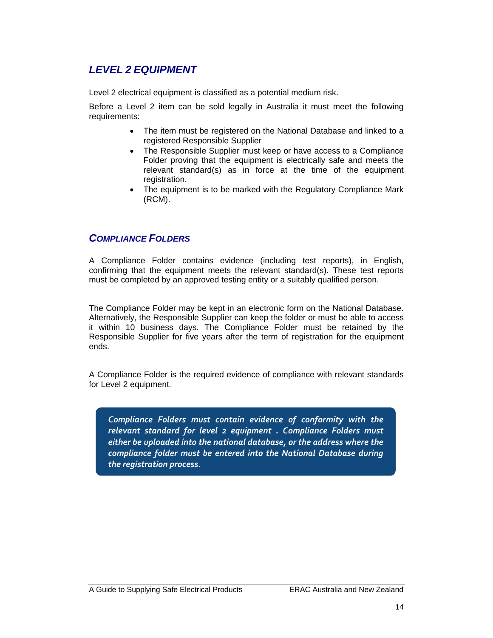## *LEVEL 2 EQUIPMENT*

Level 2 electrical equipment is classified as a potential medium risk.

Before a Level 2 item can be sold legally in Australia it must meet the following requirements:

- The item must be registered on the National Database and linked to a registered Responsible Supplier
- The Responsible Supplier must keep or have access to a Compliance Folder proving that the equipment is electrically safe and meets the relevant standard(s) as in force at the time of the equipment registration.
- The equipment is to be marked with the Regulatory Compliance Mark (RCM).

### *COMPLIANCE FOLDERS*

A Compliance Folder contains evidence (including test reports), in English, confirming that the equipment meets the relevant standard(s). These test reports must be completed by an approved testing entity or a suitably qualified person.

The Compliance Folder may be kept in an electronic form on the National Database. Alternatively, the Responsible Supplier can keep the folder or must be able to access it within 10 business days. The Compliance Folder must be retained by the Responsible Supplier for five years after the term of registration for the equipment ends.

A Compliance Folder is the required evidence of compliance with relevant standards for Level 2 equipment.

*Compliance Folders must contain evidence of conformity with the relevant standard for level 2 equipment . Compliance Folders must either be uploaded into the national database, or the address where the compliance folder must be entered into the National Database during the registration process.*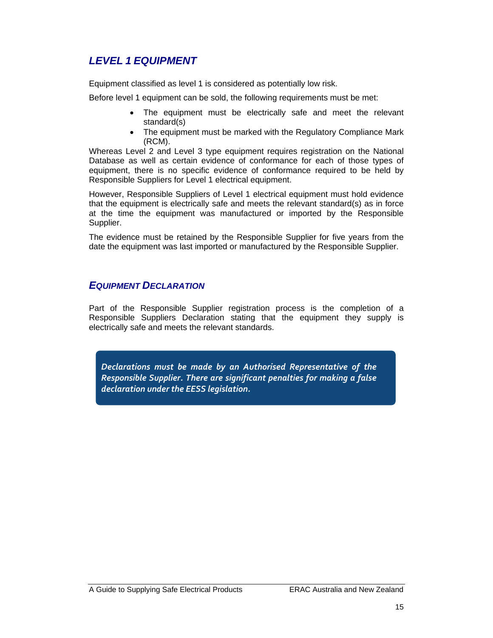# *LEVEL 1 EQUIPMENT*

Equipment classified as level 1 is considered as potentially low risk.

Before level 1 equipment can be sold, the following requirements must be met:

- The equipment must be electrically safe and meet the relevant standard(s)
- The equipment must be marked with the Regulatory Compliance Mark (RCM).

Whereas Level 2 and Level 3 type equipment requires registration on the National Database as well as certain evidence of conformance for each of those types of equipment, there is no specific evidence of conformance required to be held by Responsible Suppliers for Level 1 electrical equipment.

However, Responsible Suppliers of Level 1 electrical equipment must hold evidence that the equipment is electrically safe and meets the relevant standard(s) as in force at the time the equipment was manufactured or imported by the Responsible Supplier.

The evidence must be retained by the Responsible Supplier for five years from the date the equipment was last imported or manufactured by the Responsible Supplier.

### *EQUIPMENT DECLARATION*

Part of the Responsible Supplier registration process is the completion of a Responsible Suppliers Declaration stating that the equipment they supply is electrically safe and meets the relevant standards.

*Declarations must be made by an Authorised Representative of the Responsible Supplier. There are significant penalties for making a false declaration under the EESS legislation.*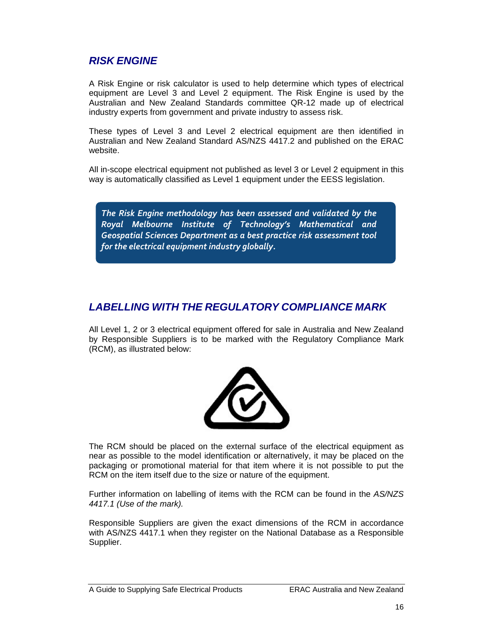## *RISK ENGINE*

A Risk Engine or risk calculator is used to help determine which types of electrical equipment are Level 3 and Level 2 equipment. The Risk Engine is used by the Australian and New Zealand Standards committee QR-12 made up of electrical industry experts from government and private industry to assess risk.

These types of Level 3 and Level 2 electrical equipment are then identified in Australian and New Zealand Standard AS/NZS 4417.2 and published on the ERAC website.

All in-scope electrical equipment not published as level 3 or Level 2 equipment in this way is automatically classified as Level 1 equipment under the EESS legislation.

*The Risk Engine methodology has been assessed and validated by the Royal Melbourne Institute of Technology's Mathematical and Geospatial Sciences Department as a best practice risk assessment tool for the electrical equipment industry globally.*

## *LABELLING WITH THE REGULATORY COMPLIANCE MARK*

All Level 1, 2 or 3 electrical equipment offered for sale in Australia and New Zealand by Responsible Suppliers is to be marked with the Regulatory Compliance Mark (RCM), as illustrated below:



The RCM should be placed on the external surface of the electrical equipment as near as possible to the model identification or alternatively, it may be placed on the packaging or promotional material for that item where it is not possible to put the RCM on the item itself due to the size or nature of the equipment.

Further information on labelling of items with the RCM can be found in the *AS/NZS 4417.1 (Use of the mark).* 

Responsible Suppliers are given the exact dimensions of the RCM in accordance with AS/NZS 4417.1 when they register on the National Database as a Responsible Supplier.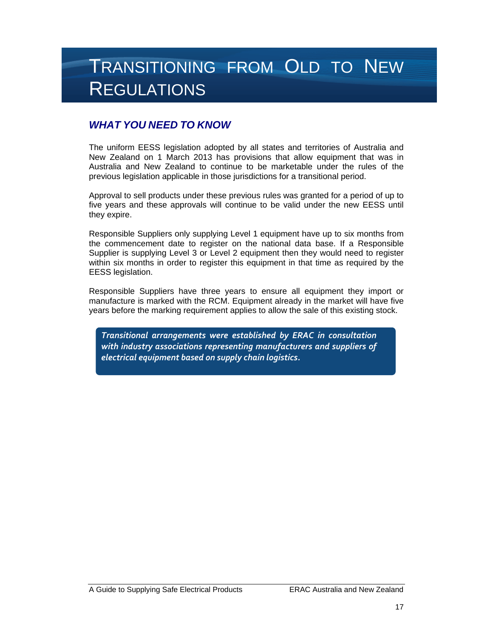# TRANSITIONING FROM OLD TO NEW REGULATIONS

# *WHAT YOU NEED TO KNOW*

The uniform EESS legislation adopted by all states and territories of Australia and New Zealand on 1 March 2013 has provisions that allow equipment that was in Australia and New Zealand to continue to be marketable under the rules of the previous legislation applicable in those jurisdictions for a transitional period.

Approval to sell products under these previous rules was granted for a period of up to five years and these approvals will continue to be valid under the new EESS until they expire.

Responsible Suppliers only supplying Level 1 equipment have up to six months from the commencement date to register on the national data base. If a Responsible Supplier is supplying Level 3 or Level 2 equipment then they would need to register within six months in order to register this equipment in that time as required by the EESS legislation.

Responsible Suppliers have three years to ensure all equipment they import or manufacture is marked with the RCM. Equipment already in the market will have five years before the marking requirement applies to allow the sale of this existing stock.

*Transitional arrangements were established by ERAC in consultation with industry associations representing manufacturers and suppliers of electrical equipment based on supply chain logistics.*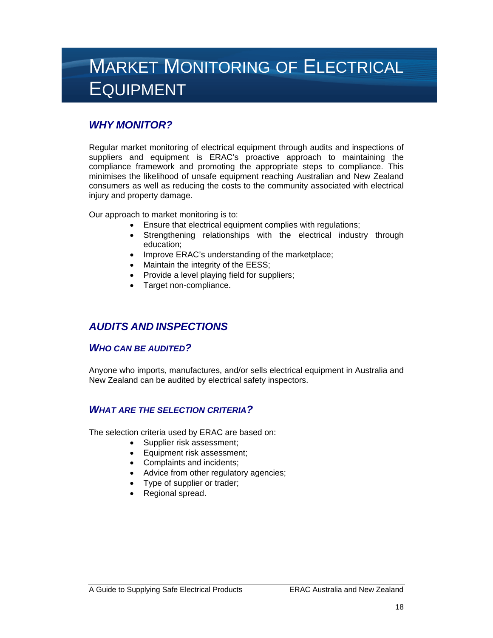# MARKET MONITORING OF ELECTRICAL EQUIPMENT

# *WHY MONITOR?*

Regular market monitoring of electrical equipment through audits and inspections of suppliers and equipment is ERAC's proactive approach to maintaining the compliance framework and promoting the appropriate steps to compliance. This minimises the likelihood of unsafe equipment reaching Australian and New Zealand consumers as well as reducing the costs to the community associated with electrical injury and property damage.

Our approach to market monitoring is to:

- Ensure that electrical equipment complies with regulations;
- Strengthening relationships with the electrical industry through education;
- Improve ERAC's understanding of the marketplace;
- Maintain the integrity of the EESS;
- Provide a level playing field for suppliers;
- Target non-compliance.

## *AUDITS AND INSPECTIONS*

#### *WHO CAN BE AUDITED?*

Anyone who imports, manufactures, and/or sells electrical equipment in Australia and New Zealand can be audited by electrical safety inspectors.

#### *WHAT ARE THE SELECTION CRITERIA?*

The selection criteria used by ERAC are based on:

- Supplier risk assessment;
- Equipment risk assessment;
- Complaints and incidents;
- Advice from other regulatory agencies;
- Type of supplier or trader;
- Regional spread.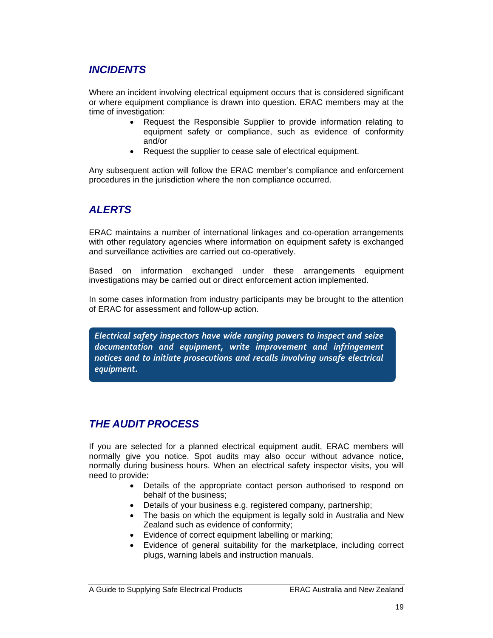## *INCIDENTS*

Where an incident involving electrical equipment occurs that is considered significant or where equipment compliance is drawn into question. ERAC members may at the time of investigation:

- Request the Responsible Supplier to provide information relating to equipment safety or compliance, such as evidence of conformity and/or
- Request the supplier to cease sale of electrical equipment.

Any subsequent action will follow the ERAC member's compliance and enforcement procedures in the jurisdiction where the non compliance occurred.

### *ALERTS*

ERAC maintains a number of international linkages and co-operation arrangements with other regulatory agencies where information on equipment safety is exchanged and surveillance activities are carried out co-operatively.

Based on information exchanged under these arrangements equipment investigations may be carried out or direct enforcement action implemented.

In some cases information from industry participants may be brought to the attention of ERAC for assessment and follow-up action.

*Electrical safety inspectors have wide ranging powers to inspect and seize documentation and equipment, write improvement and infringement notices and to initiate prosecutions and recalls involving unsafe electrical equipment.*

## *THE AUDIT PROCESS*

If you are selected for a planned electrical equipment audit, ERAC members will normally give you notice. Spot audits may also occur without advance notice, normally during business hours. When an electrical safety inspector visits, you will need to provide:

- Details of the appropriate contact person authorised to respond on behalf of the business;
- Details of your business e.g. registered company, partnership;
- The basis on which the equipment is legally sold in Australia and New Zealand such as evidence of conformity;
- Evidence of correct equipment labelling or marking;
- Evidence of general suitability for the marketplace, including correct plugs, warning labels and instruction manuals.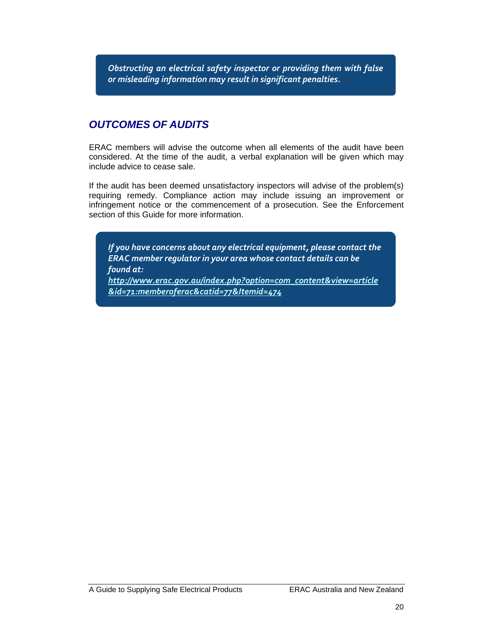*or misleading information may result in significant penalties. Obstructing an electrical safety inspector or providing them with false*

## *OUTCOMES OF AUDITS*

ERAC members will advise the outcome when all elements of the audit have been considered. At the time of the audit, a verbal explanation will be given which may include advice to cease sale.

If the audit has been deemed unsatisfactory inspectors will advise of the problem(s) requiring remedy. Compliance action may include issuing an improvement or infringement notice or the commencement of a prosecution. See the Enforcement section of this Guide for more information.

*If you have concerns about any electrical equipment, please contact the ERAC member regulator in your area whose contact details can be found at: http://www.erac.gov.au/index.php?option=com\_content&view=article*

*&id=71:memberoferac&catid=77&Itemid=474*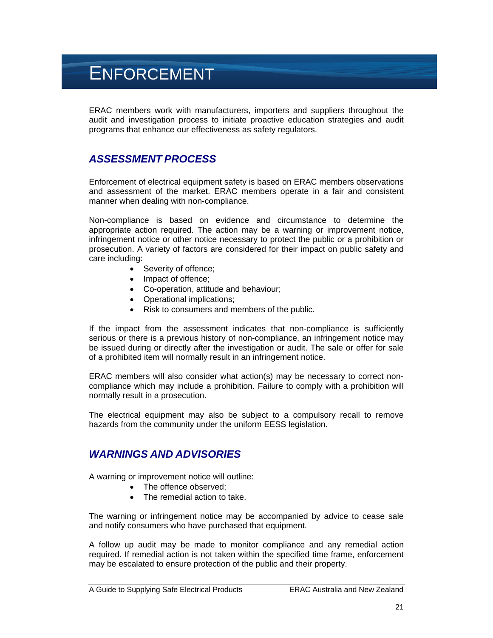# **ENFORCEMENT**

ERAC members work with manufacturers, importers and suppliers throughout the audit and investigation process to initiate proactive education strategies and audit programs that enhance our effectiveness as safety regulators.

## *ASSESSMENT PROCESS*

Enforcement of electrical equipment safety is based on ERAC members observations and assessment of the market. ERAC members operate in a fair and consistent manner when dealing with non-compliance.

Non-compliance is based on evidence and circumstance to determine the appropriate action required. The action may be a warning or improvement notice, infringement notice or other notice necessary to protect the public or a prohibition or prosecution. A variety of factors are considered for their impact on public safety and care including:

- Severity of offence;
- Impact of offence;
- Co-operation, attitude and behaviour;
- Operational implications;
- Risk to consumers and members of the public.

If the impact from the assessment indicates that non-compliance is sufficiently serious or there is a previous history of non-compliance, an infringement notice may be issued during or directly after the investigation or audit. The sale or offer for sale of a prohibited item will normally result in an infringement notice.

ERAC members will also consider what action(s) may be necessary to correct noncompliance which may include a prohibition. Failure to comply with a prohibition will normally result in a prosecution.

The electrical equipment may also be subject to a compulsory recall to remove hazards from the community under the uniform EESS legislation.

### *WARNINGS AND ADVISORIES*

A warning or improvement notice will outline:

- The offence observed;
- The remedial action to take.

The warning or infringement notice may be accompanied by advice to cease sale and notify consumers who have purchased that equipment.

A follow up audit may be made to monitor compliance and any remedial action required. If remedial action is not taken within the specified time frame, enforcement may be escalated to ensure protection of the public and their property.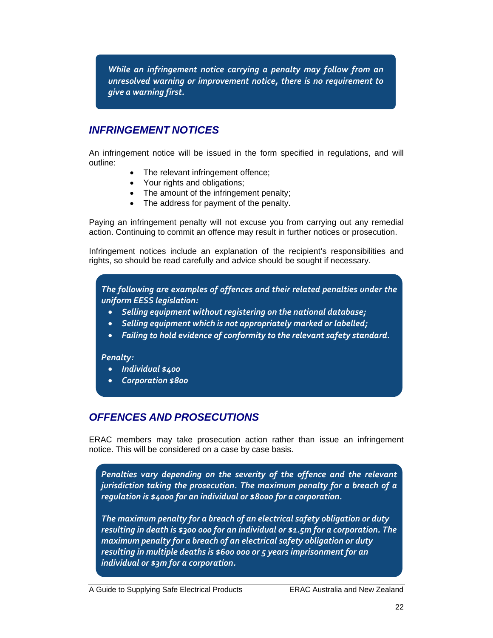*While an infringement notice carrying a penalty may follow from an unresolved warning or improvement notice, there is no requirement to give a warning first.*

## *INFRINGEMENT NOTICES*

An infringement notice will be issued in the form specified in regulations, and will outline:

- The relevant infringement offence;
- Your rights and obligations;
- The amount of the infringement penalty;
- The address for payment of the penalty.

Paying an infringement penalty will not excuse you from carrying out any remedial action. Continuing to commit an offence may result in further notices or prosecution.

Infringement notices include an explanation of the recipient's responsibilities and rights, so should be read carefully and advice should be sought if necessary.

*The following are examples of offences and their related penalties under the uniform EESS legislation:*

- *Selling equipment without registering on the national database;*
- *Selling equipment which is not appropriately marked or labelled;*
- *Failing to hold evidence of conformity to the relevant safety standard.*

#### *Penalty:*

- *Individual \$400*
- *Corporation \$800*

## *OFFENCES AND PROSECUTIONS*

ERAC members may take prosecution action rather than issue an infringement notice. This will be considered on a case by case basis.

*Penalties vary depending on the severity of the offence and the relevant jurisdiction taking the prosecution. The maximum penalty for a breach of a regulation is \$4000 for an individual or \$8000 for a corporation.*

*The maximum penalty for a breach of an electrical safety obligation or duty resulting in death is \$300 000 for an individual or \$1.5m for a corporation. The maximum penalty for a breach of an electrical safety obligation or duty resulting in multiple deaths is \$600 000 or 5 years imprisonment for an individual or \$3m for a corporation.*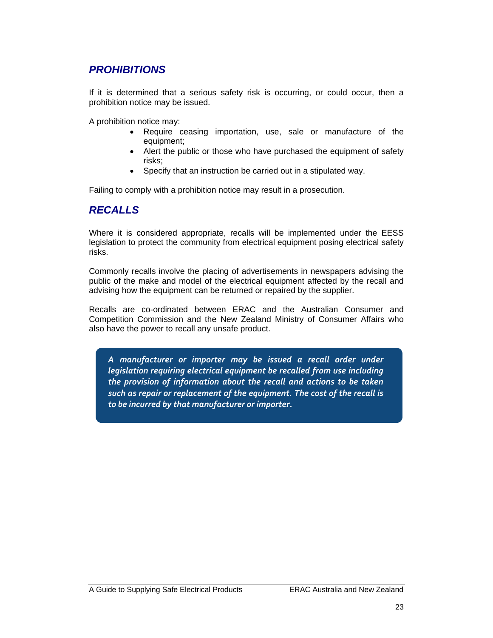## *PROHIBITIONS*

If it is determined that a serious safety risk is occurring, or could occur, then a prohibition notice may be issued.

A prohibition notice may:

- Require ceasing importation, use, sale or manufacture of the equipment;
- Alert the public or those who have purchased the equipment of safety risks;
- Specify that an instruction be carried out in a stipulated way.

Failing to comply with a prohibition notice may result in a prosecution.

### *RECALLS*

Where it is considered appropriate, recalls will be implemented under the EESS legislation to protect the community from electrical equipment posing electrical safety risks.

Commonly recalls involve the placing of advertisements in newspapers advising the public of the make and model of the electrical equipment affected by the recall and advising how the equipment can be returned or repaired by the supplier.

Recalls are co-ordinated between ERAC and the Australian Consumer and Competition Commission and the New Zealand Ministry of Consumer Affairs who also have the power to recall any unsafe product.

*A manufacturer or importer may be issued a recall order under legislation requiring electrical equipment be recalled from use including the provision of information about the recall and actions to be taken such as repair or replacement of the equipment. The cost of the recall is to be incurred by that manufacturer or importer.*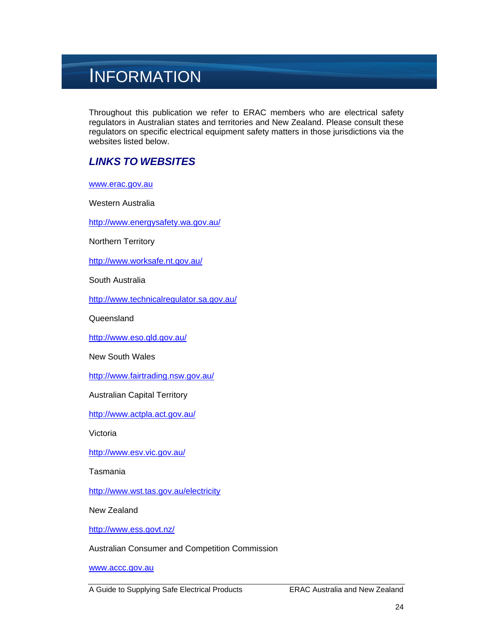# **INFORMATION**

Throughout this publication we refer to ERAC members who are electrical safety regulators in Australian states and territories and New Zealand. Please consult these regulators on specific electrical equipment safety matters in those jurisdictions via the websites listed below.

## *LINKS TO WEBSITES*

www.erac.gov.au

Western Australia

http://www.energysafety.wa.gov.au/

Northern Territory

http://www.worksafe.nt.gov.au/

South Australia

http://www.technicalregulator.sa.gov.au/

Queensland

http://www.eso.qld.gov.au/

New South Wales

http://www.fairtrading.nsw.gov.au/

Australian Capital Territory

http://www.actpla.act.gov.au/

Victoria

http://www.esv.vic.gov.au/

Tasmania

http://www.wst.tas.gov.au/electricity

New Zealand

http://www.ess.govt.nz/

Australian Consumer and Competition Commission

www.accc.gov.au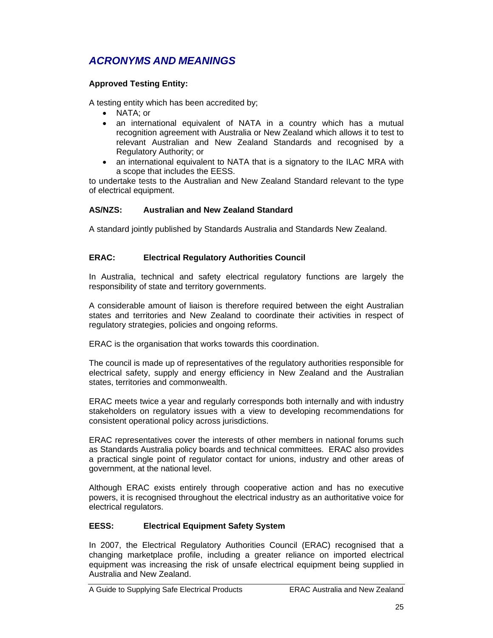# *ACRONYMS AND MEANINGS*

#### **Approved Testing Entity:**

A testing entity which has been accredited by;

- NATA; or
- an international equivalent of NATA in a country which has a mutual recognition agreement with Australia or New Zealand which allows it to test to relevant Australian and New Zealand Standards and recognised by a Regulatory Authority; or
- an international equivalent to NATA that is a signatory to the ILAC MRA with a scope that includes the EESS.

to undertake tests to the Australian and New Zealand Standard relevant to the type of electrical equipment.

#### **AS/NZS: Australian and New Zealand Standard**

A standard jointly published by Standards Australia and Standards New Zealand.

#### **ERAC: Electrical Regulatory Authorities Council**

In Australia, technical and safety electrical regulatory functions are largely the responsibility of state and territory governments.

A considerable amount of liaison is therefore required between the eight Australian states and territories and New Zealand to coordinate their activities in respect of regulatory strategies, policies and ongoing reforms.

ERAC is the organisation that works towards this coordination.

The council is made up of representatives of the regulatory authorities responsible for electrical safety, supply and energy efficiency in New Zealand and the Australian states, territories and commonwealth.

ERAC meets twice a year and regularly corresponds both internally and with industry stakeholders on regulatory issues with a view to developing recommendations for consistent operational policy across jurisdictions.

ERAC representatives cover the interests of other members in national forums such as Standards Australia policy boards and technical committees. ERAC also provides a practical single point of regulator contact for unions, industry and other areas of government, at the national level.

Although ERAC exists entirely through cooperative action and has no executive powers, it is recognised throughout the electrical industry as an authoritative voice for electrical regulators.

#### **EESS: Electrical Equipment Safety System**

In 2007, the Electrical Regulatory Authorities Council (ERAC) recognised that a changing marketplace profile, including a greater reliance on imported electrical equipment was increasing the risk of unsafe electrical equipment being supplied in Australia and New Zealand.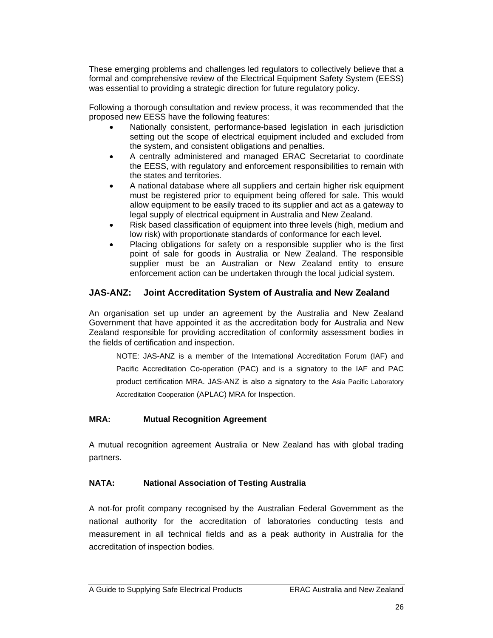These emerging problems and challenges led regulators to collectively believe that a formal and comprehensive review of the Electrical Equipment Safety System (EESS) was essential to providing a strategic direction for future regulatory policy.

Following a thorough consultation and review process, it was recommended that the proposed new EESS have the following features:

- Nationally consistent, performance-based legislation in each jurisdiction setting out the scope of electrical equipment included and excluded from the system, and consistent obligations and penalties.
- A centrally administered and managed ERAC Secretariat to coordinate the EESS, with regulatory and enforcement responsibilities to remain with the states and territories.
- A national database where all suppliers and certain higher risk equipment must be registered prior to equipment being offered for sale. This would allow equipment to be easily traced to its supplier and act as a gateway to legal supply of electrical equipment in Australia and New Zealand.
- Risk based classification of equipment into three levels (high, medium and low risk) with proportionate standards of conformance for each level.
- Placing obligations for safety on a responsible supplier who is the first point of sale for goods in Australia or New Zealand. The responsible supplier must be an Australian or New Zealand entity to ensure enforcement action can be undertaken through the local judicial system.

#### **JAS-ANZ: Joint Accreditation System of Australia and New Zealand**

An organisation set up under an agreement by the Australia and New Zealand Government that have appointed it as the accreditation body for Australia and New Zealand responsible for providing accreditation of conformity assessment bodies in the fields of certification and inspection.

NOTE: JAS-ANZ is a member of the International Accreditation Forum (IAF) and Pacific Accreditation Co-operation (PAC) and is a signatory to the IAF and PAC product certification MRA. JAS-ANZ is also a signatory to the Asia Pacific Laboratory Accreditation Cooperation (APLAC) MRA for Inspection.

#### **MRA: Mutual Recognition Agreement**

A mutual recognition agreement Australia or New Zealand has with global trading partners.

#### **NATA: National Association of Testing Australia**

A not-for profit company recognised by the Australian Federal Government as the national authority for the accreditation of laboratories conducting tests and measurement in all technical fields and as a peak authority in Australia for the accreditation of inspection bodies.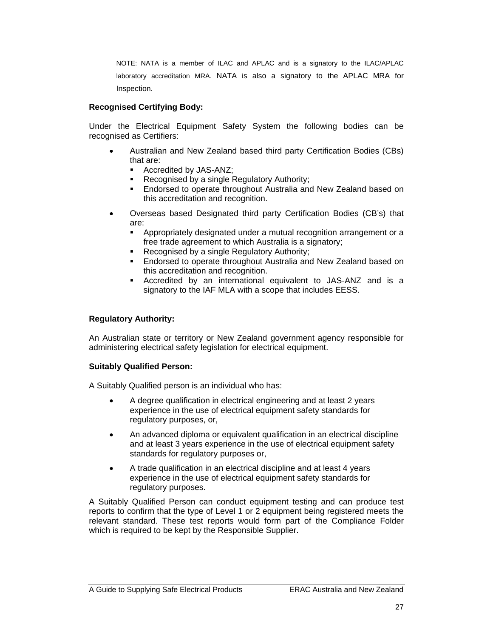NOTE: NATA is a member of ILAC and APLAC and is a signatory to the ILAC/APLAC laboratory accreditation MRA. NATA is also a signatory to the APLAC MRA for Inspection.

#### **Recognised Certifying Body:**

Under the Electrical Equipment Safety System the following bodies can be recognised as Certifiers:

- Australian and New Zealand based third party Certification Bodies (CBs) that are:
	- Accredited by JAS-ANZ:
	- Recognised by a single Regulatory Authority;
	- **Endorsed to operate throughout Australia and New Zealand based on** this accreditation and recognition.
- Overseas based Designated third party Certification Bodies (CB's) that are:
	- Appropriately designated under a mutual recognition arrangement or a free trade agreement to which Australia is a signatory;
	- **Recognised by a single Regulatory Authority;**
	- **Endorsed to operate throughout Australia and New Zealand based on** this accreditation and recognition.
	- Accredited by an international equivalent to JAS-ANZ and is a signatory to the IAF MLA with a scope that includes EESS.

#### **Regulatory Authority:**

An Australian state or territory or New Zealand government agency responsible for administering electrical safety legislation for electrical equipment.

#### **Suitably Qualified Person:**

A Suitably Qualified person is an individual who has:

- A degree qualification in electrical engineering and at least 2 years experience in the use of electrical equipment safety standards for regulatory purposes, or,
- An advanced diploma or equivalent qualification in an electrical discipline and at least 3 years experience in the use of electrical equipment safety standards for regulatory purposes or,
- A trade qualification in an electrical discipline and at least 4 years experience in the use of electrical equipment safety standards for regulatory purposes.

A Suitably Qualified Person can conduct equipment testing and can produce test reports to confirm that the type of Level 1 or 2 equipment being registered meets the relevant standard. These test reports would form part of the Compliance Folder which is required to be kept by the Responsible Supplier.